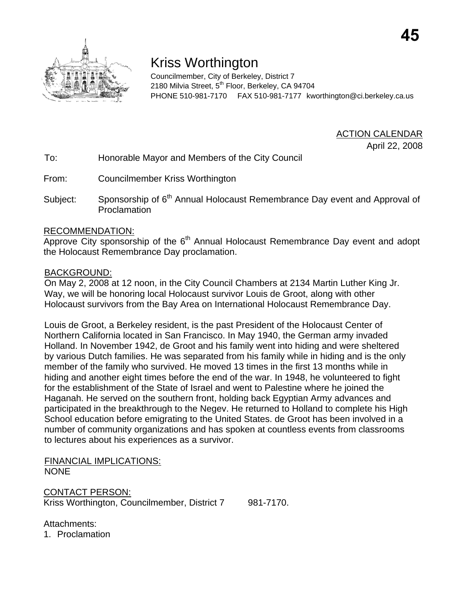

# Kriss Worthington

Councilmember, City of Berkeley, District 7 2180 Milvia Street, 5<sup>th</sup> Floor, Berkeley, CA 94704 PHONE 510-981-7170 FAX 510-981-7177 kworthington@ci.berkeley.ca.us

ACTION CALENDAR

April 22, 2008

To: Honorable Mayor and Members of the City Council

From: Councilmember Kriss Worthington

Subject: Sponsorship of 6<sup>th</sup> Annual Holocaust Remembrance Day event and Approval of Proclamation

### RECOMMENDATION:

Approve City sponsorship of the 6<sup>th</sup> Annual Holocaust Remembrance Day event and adopt the Holocaust Remembrance Day proclamation.

#### BACKGROUND:

On May 2, 2008 at 12 noon, in the City Council Chambers at 2134 Martin Luther King Jr. Way, we will be honoring local Holocaust survivor Louis de Groot, along with other Holocaust survivors from the Bay Area on International Holocaust Remembrance Day.

Louis de Groot, a Berkeley resident, is the past President of the Holocaust Center of Northern California located in San Francisco. In May 1940, the German army invaded Holland. In November 1942, de Groot and his family went into hiding and were sheltered by various Dutch families. He was separated from his family while in hiding and is the only member of the family who survived. He moved 13 times in the first 13 months while in hiding and another eight times before the end of the war. In 1948, he volunteered to fight for the establishment of the State of Israel and went to Palestine where he joined the Haganah. He served on the southern front, holding back Egyptian Army advances and participated in the breakthrough to the Negev. He returned to Holland to complete his High School education before emigrating to the United States. de Groot has been involved in a number of community organizations and has spoken at countless events from classrooms to lectures about his experiences as a survivor.

FINANCIAL IMPLICATIONS: NONE

CONTACT PERSON: Kriss Worthington, Councilmember, District 7 981-7170.

Attachments:

1. Proclamation